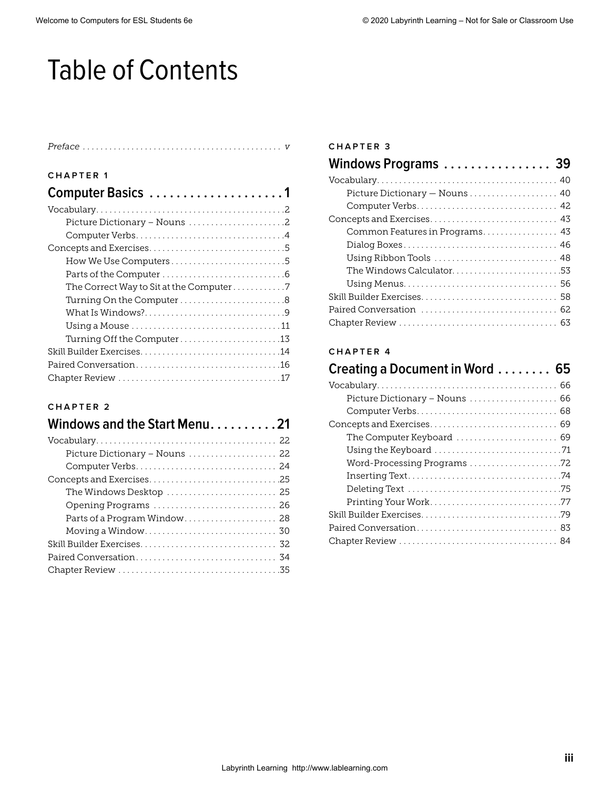# Table of Contents

| CHAPTER 1                                                              |
|------------------------------------------------------------------------|
| Computer Basics 1                                                      |
|                                                                        |
| Picture Dictionary – Nouns $\ldots \ldots \ldots \ldots \ldots \ldots$ |
|                                                                        |
|                                                                        |
| How We Use Computers $\dots\dots\dots\dots\dots\dots\dots\dots\dots$   |
|                                                                        |
| The Correct Way to Sit at the Computer7                                |
| Turning On the Computer8                                               |
|                                                                        |
|                                                                        |
|                                                                        |
|                                                                        |
|                                                                        |
|                                                                        |

### **CHAPTER 2**

| Windows and the Start Menu21                                              |
|---------------------------------------------------------------------------|
|                                                                           |
| Picture Dictionary - Nouns  22                                            |
|                                                                           |
|                                                                           |
| The Windows Desktop $\ldots \ldots \ldots \ldots \ldots \ldots \ldots$ 25 |
| Opening Programs  26                                                      |
| Parts of a Program Window 28                                              |
|                                                                           |
|                                                                           |
|                                                                           |
|                                                                           |

#### **CHAPTER 3**

| Windows Programs  39                                                            |  |
|---------------------------------------------------------------------------------|--|
|                                                                                 |  |
| Picture Dictionary - Nouns  40                                                  |  |
|                                                                                 |  |
|                                                                                 |  |
| Common Features in Programs 43                                                  |  |
|                                                                                 |  |
| Using Ribbon Tools $\ldots \ldots \ldots \ldots \ldots \ldots \ldots \ldots$ 48 |  |
| The Windows Calculator53                                                        |  |
|                                                                                 |  |
|                                                                                 |  |
|                                                                                 |  |
|                                                                                 |  |

#### **CHAPTER 4**

| Creating a Document in Word  65 |
|---------------------------------|
|                                 |
| Picture Dictionary - Nouns  66  |
|                                 |
|                                 |
|                                 |
|                                 |
| Word-Processing Programs 72     |
|                                 |
|                                 |
|                                 |
|                                 |
|                                 |
|                                 |